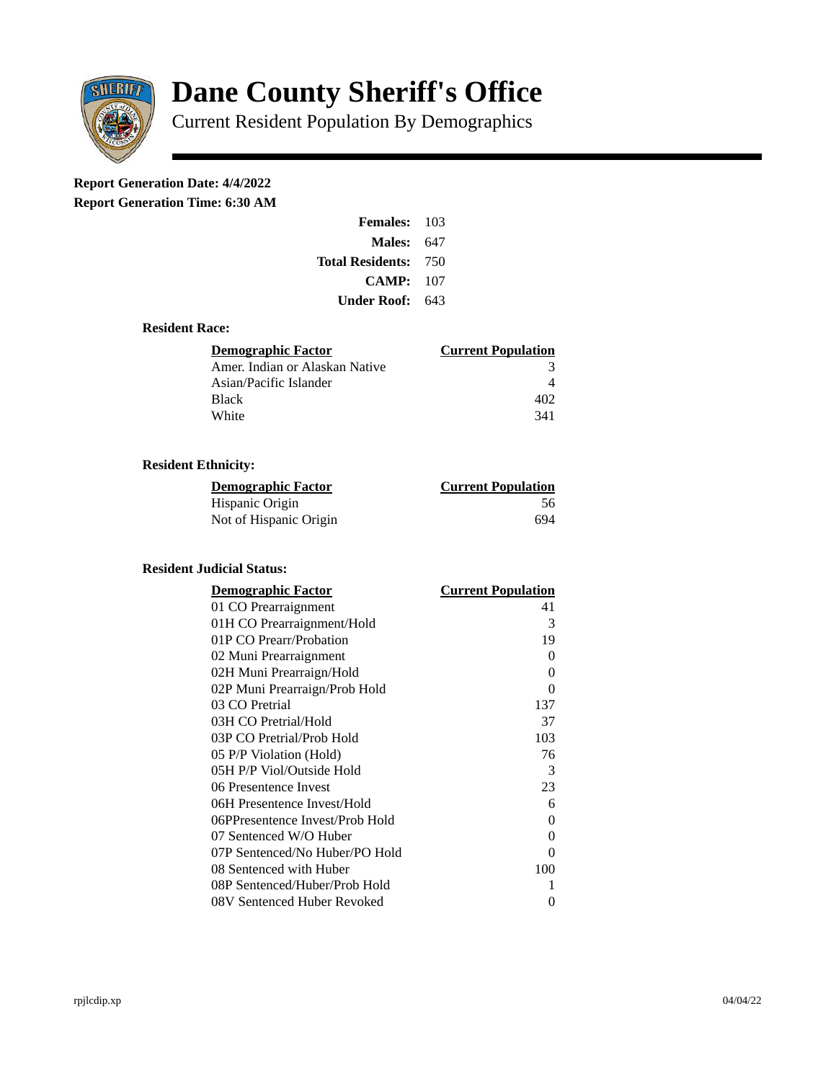

# **Dane County Sheriff's Office**

Current Resident Population By Demographics

# **Report Generation Date: 4/4/2022**

**Report Generation Time: 6:30 AM** 

| <b>Females: 103</b>         |     |
|-----------------------------|-----|
| Males:                      | 647 |
| <b>Total Residents: 750</b> |     |
| CAMP:                       | 107 |
| Under Roof:                 | 643 |

#### **Resident Race:**

| Demographic Factor             | <b>Current Population</b> |
|--------------------------------|---------------------------|
| Amer. Indian or Alaskan Native | З                         |
| Asian/Pacific Islander         |                           |
| <b>Black</b>                   | 402                       |
| White                          | 341                       |

# **Resident Ethnicity:**

| <u>Demographic Factor</u> | <b>Current Population</b> |
|---------------------------|---------------------------|
| Hispanic Origin           | 56                        |
| Not of Hispanic Origin    | 694                       |

## **Resident Judicial Status:**

| <b>Demographic Factor</b>       | <b>Current Population</b> |
|---------------------------------|---------------------------|
| 01 CO Prearraignment            | 41                        |
| 01H CO Prearraignment/Hold      | 3                         |
| 01P CO Prearr/Probation         | 19                        |
| 02 Muni Prearraignment          | 0                         |
| 02H Muni Prearraign/Hold        | 0                         |
| 02P Muni Prearraign/Prob Hold   | 0                         |
| 03 CO Pretrial                  | 137                       |
| 03H CO Pretrial/Hold            | 37                        |
| 03P CO Pretrial/Prob Hold       | 103                       |
| 05 P/P Violation (Hold)         | 76                        |
| 05H P/P Viol/Outside Hold       | 3                         |
| 06 Presentence Invest           | 23                        |
| 06H Presentence Invest/Hold     | 6                         |
| 06PPresentence Invest/Prob Hold | 0                         |
| 07 Sentenced W/O Huber          | 0                         |
| 07P Sentenced/No Huber/PO Hold  | 0                         |
| 08 Sentenced with Huber         | 100                       |
| 08P Sentenced/Huber/Prob Hold   | 1                         |
| 08V Sentenced Huber Revoked     | 0                         |